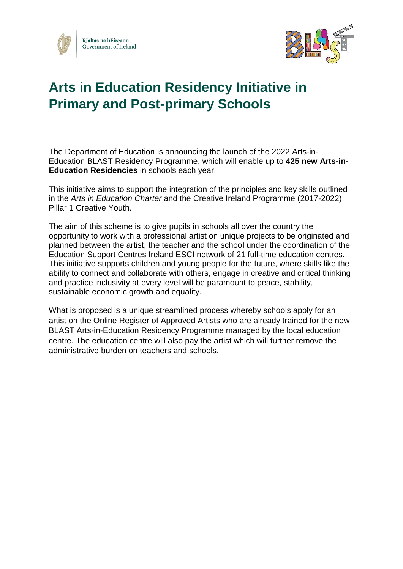



# **Arts in Education Residency Initiative in Primary and Post-primary Schools**

The Department of Education is announcing the launch of the 2022 Arts-in-Education BLAST Residency Programme, which will enable up to **425 new Arts-in-Education Residencies** in schools each year.

This initiative aims to support the integration of the principles and key skills outlined in the *Arts in Education Charter* and the Creative Ireland Programme (2017-2022), Pillar 1 Creative Youth.

The aim of this scheme is to give pupils in schools all over the country the opportunity to work with a professional artist on unique projects to be originated and planned between the artist, the teacher and the school under the coordination of the Education Support Centres Ireland ESCI network of 21 full-time education centres. This initiative supports children and young people for the future, where skills like the ability to connect and collaborate with others, engage in creative and critical thinking and practice inclusivity at every level will be paramount to peace, stability, sustainable economic growth and equality.

What is proposed is a unique streamlined process whereby schools apply for an artist on the Online Register of Approved Artists who are already trained for the new BLAST Arts-in-Education Residency Programme managed by the local education centre. The education centre will also pay the artist which will further remove the administrative burden on teachers and schools.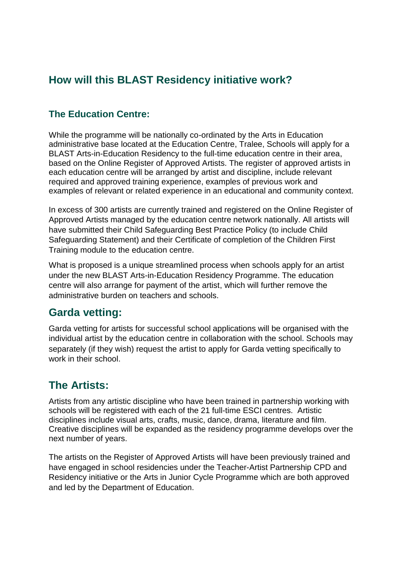## **How will this BLAST Residency initiative work?**

#### **The Education Centre:**

While the programme will be nationally co-ordinated by the Arts in Education administrative base located at the Education Centre, Tralee, Schools will apply for a BLAST Arts-in-Education Residency to the full-time education centre in their area, based on the Online Register of Approved Artists. The register of approved artists in each education centre will be arranged by artist and discipline, include relevant required and approved training experience, examples of previous work and examples of relevant or related experience in an educational and community context.

In excess of 300 artists are currently trained and registered on the Online Register of Approved Artists managed by the education centre network nationally. All artists will have submitted their Child Safeguarding Best Practice Policy (to include Child Safeguarding Statement) and their Certificate of completion of the Children First Training module to the education centre.

What is proposed is a unique streamlined process when schools apply for an artist under the new BLAST Arts-in-Education Residency Programme. The education centre will also arrange for payment of the artist, which will further remove the administrative burden on teachers and schools.

#### **Garda vetting:**

Garda vetting for artists for successful school applications will be organised with the individual artist by the education centre in collaboration with the school**.** Schools may separately (if they wish) request the artist to apply for Garda vetting specifically to work in their school.

### **The Artists:**

Artists from any artistic discipline who have been trained in partnership working with schools will be registered with each of the 21 full-time ESCI centres. Artistic disciplines include visual arts, crafts, music, dance, drama, literature and film. Creative disciplines will be expanded as the residency programme develops over the next number of years.

The artists on the Register of Approved Artists will have been previously trained and have engaged in school residencies under the Teacher-Artist Partnership CPD and Residency initiative or the Arts in Junior Cycle Programme which are both approved and led by the Department of Education.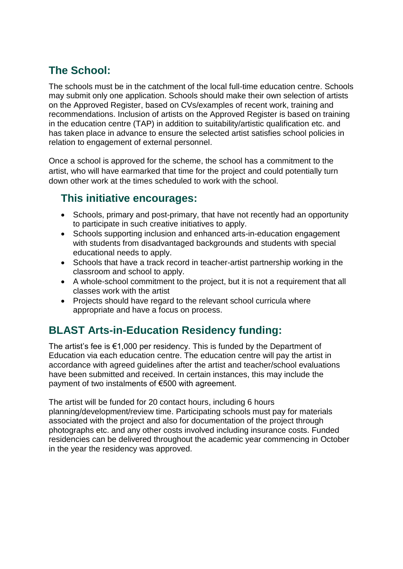# **The School:**

The schools must be in the catchment of the local full-time education centre. Schools may submit only one application. Schools should make their own selection of artists on the Approved Register, based on CVs/examples of recent work, training and recommendations. Inclusion of artists on the Approved Register is based on training in the education centre (TAP) in addition to suitability/artistic qualification etc. and has taken place in advance to ensure the selected artist satisfies school policies in relation to engagement of external personnel.

Once a school is approved for the scheme, the school has a commitment to the artist, who will have earmarked that time for the project and could potentially turn down other work at the times scheduled to work with the school.

### **This initiative encourages:**

- Schools, primary and post-primary, that have not recently had an opportunity to participate in such creative initiatives to apply.
- Schools supporting inclusion and enhanced arts-in-education engagement with students from disadvantaged backgrounds and students with special educational needs to apply.
- Schools that have a track record in teacher-artist partnership working in the classroom and school to apply.
- A whole-school commitment to the project, but it is not a requirement that all classes work with the artist
- Projects should have regard to the relevant school curricula where appropriate and have a focus on process.

# **BLAST Arts-in-Education Residency funding:**

The artist's fee is €1,000 per residency. This is funded by the Department of Education via each education centre. The education centre will pay the artist in accordance with agreed guidelines after the artist and teacher/school evaluations have been submitted and received. In certain instances, this may include the payment of two instalments of €500 with agreement.

The artist will be funded for 20 contact hours, including 6 hours planning/development/review time. Participating schools must pay for materials associated with the project and also for documentation of the project through photographs etc. and any other costs involved including insurance costs. Funded residencies can be delivered throughout the academic year commencing in October in the year the residency was approved.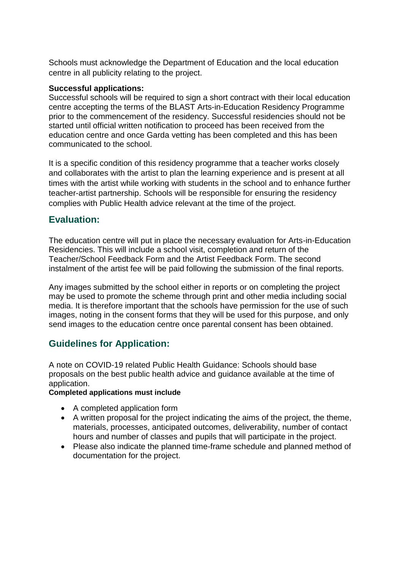Schools must acknowledge the Department of Education and the local education centre in all publicity relating to the project.

#### **Successful applications:**

Successful schools will be required to sign a short contract with their local education centre accepting the terms of the BLAST Arts-in-Education Residency Programme prior to the commencement of the residency. Successful residencies should not be started until official written notification to proceed has been received from the education centre and once Garda vetting has been completed and this has been communicated to the school.

It is a specific condition of this residency programme that a teacher works closely and collaborates with the artist to plan the learning experience and is present at all times with the artist while working with students in the school and to enhance further teacher-artist partnership. Schools will be responsible for ensuring the residency complies with Public Health advice relevant at the time of the project.

#### **Evaluation:**

The education centre will put in place the necessary evaluation for Arts-in-Education Residencies. This will include a school visit, completion and return of the Teacher/School Feedback Form and the Artist Feedback Form. The second instalment of the artist fee will be paid following the submission of the final reports.

Any images submitted by the school either in reports or on completing the project may be used to promote the scheme through print and other media including social media. It is therefore important that the schools have permission for the use of such images, noting in the consent forms that they will be used for this purpose, and only send images to the education centre once parental consent has been obtained.

#### **Guidelines for Application:**

A note on COVID-19 related Public Health Guidance: Schools should base proposals on the best public health advice and guidance available at the time of application.

#### **Completed applications must include**

- A completed application form
- A written proposal for the project indicating the aims of the project, the theme, materials, processes, anticipated outcomes, deliverability, number of contact hours and number of classes and pupils that will participate in the project.
- Please also indicate the planned time-frame schedule and planned method of documentation for the project.